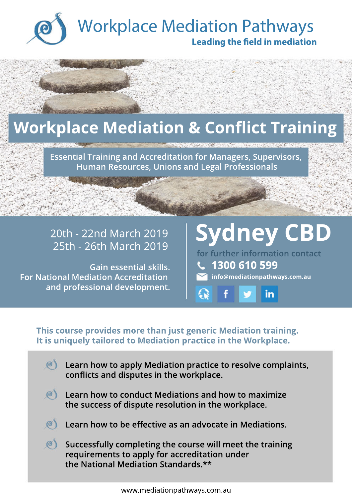

### **Workplace Mediation & Conflict Training**

**Essential Training and Accreditation for Managers, Supervisors, Human Resources, Unions and Legal Professionals**

### 20th - 22nd March 2019

**Gain essential skills. For National Mediation Accreditation and professional development.**

# 20th - 22nd March 2019 | Sydney CBD<br>25th - 26th March 2019 | Sydney CBD

**info@mediationpathways.com.au 1300 610 599 for further information contact**

in

**This course provides more than just generic Mediation training. It is uniquely tailored to Mediation practice in the Workplace.**

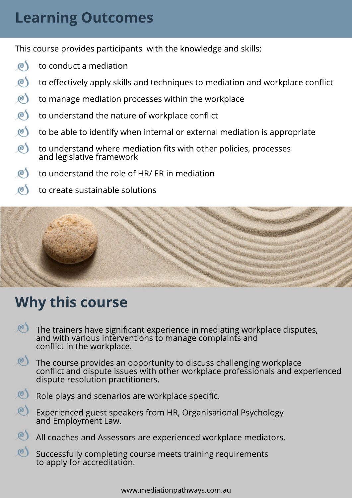#### **Learning Outcomes**

This course provides participants with the knowledge and skills:

- $\circ$ to conduct a mediation
- $\mathcal{O}$ to effectively apply skills and techniques to mediation and workplace conflict
- $\mathcal{O}$ to manage mediation processes within the workplace
- $\circledcirc$ to understand the nature of workplace conflict
- $\mathcal{O}$ to be able to identify when internal or external mediation is appropriate
- $\circledcirc$ to understand where mediation fits with other policies, processes and legislative framework
- $\mathcal{O}$ to understand the role of HR/ ER in mediation
- $\mathcal{O}$ to create sustainable solutions



#### **Why this course**

- $\mathcal{O}$ The trainers have significant experience in mediating workplace disputes, and with various interventions to manage complaints and conflict in the workplace.
- $\mathcal{O}$ The course provides an opportunity to discuss challenging workplace conflict and dispute issues with other workplace professionals and experienced dispute resolution practitioners.



- Role plays and scenarios are workplace specific.
- $\mathcal{O}$ Experienced guest speakers from HR, Organisational Psychology and Employment Law.
- $(0)$ All coaches and Assessors are experienced workplace mediators.
- $\mathcal{O}$ Successfully completing course meets training requirements to apply for accreditation.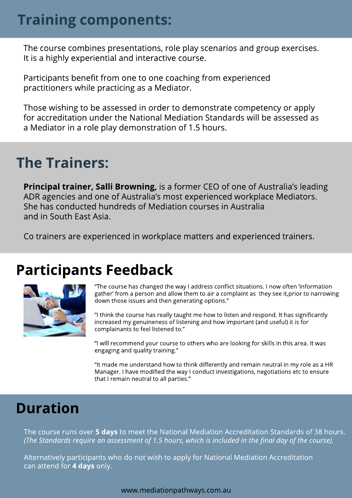#### **Training components:**

The course combines presentations, role play scenarios and group exercises. It is a highly experiential and interactive course.

Participants benefit from one to one coaching from experienced practitioners while practicing as a Mediator.

Those wishing to be assessed in order to demonstrate competency or apply for accreditation under the National Mediation Standards will be assessed as a Mediator in a role play demonstration of 1.5 hours.

#### **The Trainers:**

**Principal trainer, Salli Browning,** is a former CEO of one of Australia's leading ADR agencies and one of Australia's most experienced workplace Mediators. She has conducted hundreds of Mediation courses in Australia and in South East Asia.

Co trainers are experienced in workplace matters and experienced trainers.

#### **Participants Feedback**



"The course has changed the way I address conflict situations. I now often 'information gather' from a person and allow them to air a complaint as they see it,prior to narrowing down those issues and then generating options."

"I think the course has really taught me how to listen and respond. It has significantly increased my genuineness of listening and how important (and useful) it is for complainants to feel listened to."

"I will recommend your course to others who are looking for skills in this area. It was engaging and quality training."

"It made me understand how to think differently and remain neutral in my role as a HR Manager. I have modified the way I conduct investigations, negotiations etc to ensure that I remain neutral to all parties."

#### **Duration**

The course runs over **5 days** to meet the National Mediation Accreditation Standards of 38 hours. *(The Standards require an assessment of 1.5 hours, which is included in the final day of the course).* 

Alternatively participants who do not wish to apply for National Mediation Accreditation can attend for **4 days** only.

www.mediationpathways.com.au